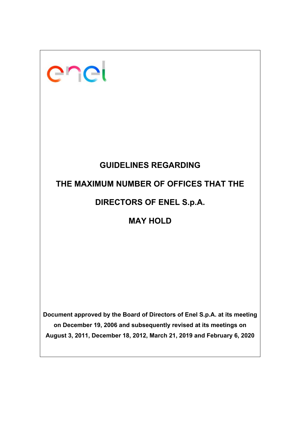| enei                                                                                                                                                                                                                    |  |  |  |  |  |
|-------------------------------------------------------------------------------------------------------------------------------------------------------------------------------------------------------------------------|--|--|--|--|--|
|                                                                                                                                                                                                                         |  |  |  |  |  |
| <b>GUIDELINES REGARDING</b>                                                                                                                                                                                             |  |  |  |  |  |
| THE MAXIMUM NUMBER OF OFFICES THAT THE                                                                                                                                                                                  |  |  |  |  |  |
| <b>DIRECTORS OF ENEL S.p.A.</b>                                                                                                                                                                                         |  |  |  |  |  |
| <b>MAY HOLD</b>                                                                                                                                                                                                         |  |  |  |  |  |
|                                                                                                                                                                                                                         |  |  |  |  |  |
|                                                                                                                                                                                                                         |  |  |  |  |  |
|                                                                                                                                                                                                                         |  |  |  |  |  |
|                                                                                                                                                                                                                         |  |  |  |  |  |
| Document approved by the Board of Directors of Enel S.p.A. at its meeting<br>on December 19, 2006 and subsequently revised at its meetings on<br>August 3, 2011, December 18, 2012, March 21, 2019 and February 6, 2020 |  |  |  |  |  |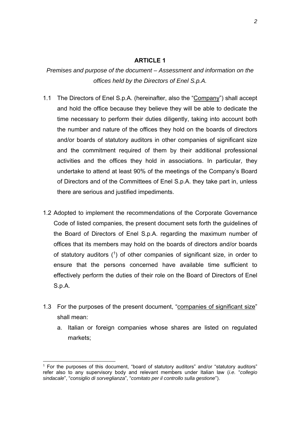#### **ARTICLE 1**

*Premises and purpose of the document – Assessment and information on the offices held by the Directors of Enel S.p.A.* 

- 1.1 The Directors of Enel S.p.A. (hereinafter, also the "Company") shall accept and hold the office because they believe they will be able to dedicate the time necessary to perform their duties diligently, taking into account both the number and nature of the offices they hold on the boards of directors and/or boards of statutory auditors in other companies of significant size and the commitment required of them by their additional professional activities and the offices they hold in associations. In particular, they undertake to attend at least 90% of the meetings of the Company's Board of Directors and of the Committees of Enel S.p.A. they take part in, unless there are serious and justified impediments.
- 1.2 Adopted to implement the recommendations of the Corporate Governance Code of listed companies, the present document sets forth the guidelines of the Board of Directors of Enel S.p.A. regarding the maximum number of offices that its members may hold on the boards of directors and/or boards of statutory auditors  $(1)$  of other companies of significant size, in order to ensure that the persons concerned have available time sufficient to effectively perform the duties of their role on the Board of Directors of Enel S.p.A.
- 1.3 For the purposes of the present document, "companies of significant size" shall mean:
	- a. Italian or foreign companies whose shares are listed on regulated markets;

 $1$  For the purposes of this document, "board of statutory auditors" and/or "statutory auditors" refer also to any supervisory body and relevant members under Italian law (*i.e.* "*collegio sindacale*", "*consiglio di sorveglianza*", "*comitato per il controllo sulla gestione*").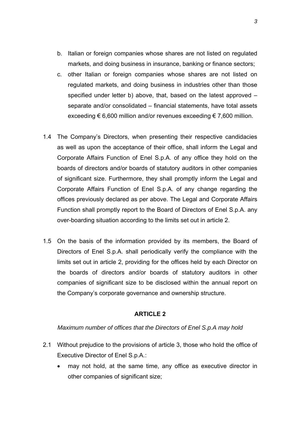- b. Italian or foreign companies whose shares are not listed on regulated markets, and doing business in insurance, banking or finance sectors;
- c. other Italian or foreign companies whose shares are not listed on regulated markets, and doing business in industries other than those specified under letter b) above, that, based on the latest approved – separate and/or consolidated – financial statements, have total assets exceeding  $\epsilon$  6,600 million and/or revenues exceeding  $\epsilon$  7,600 million.
- 1.4 The Company's Directors, when presenting their respective candidacies as well as upon the acceptance of their office, shall inform the Legal and Corporate Affairs Function of Enel S.p.A. of any office they hold on the boards of directors and/or boards of statutory auditors in other companies of significant size. Furthermore, they shall promptly inform the Legal and Corporate Affairs Function of Enel S.p.A. of any change regarding the offices previously declared as per above. The Legal and Corporate Affairs Function shall promptly report to the Board of Directors of Enel S.p.A. any over-boarding situation according to the limits set out in article 2.
- 1.5 On the basis of the information provided by its members, the Board of Directors of Enel S.p.A. shall periodically verify the compliance with the limits set out in article 2, providing for the offices held by each Director on the boards of directors and/or boards of statutory auditors in other companies of significant size to be disclosed within the annual report on the Company's corporate governance and ownership structure.

### **ARTICLE 2**

#### *Maximum number of offices that the Directors of Enel S.p.A may hold*

- 2.1 Without prejudice to the provisions of article 3, those who hold the office of Executive Director of Enel S.p.A.:
	- may not hold, at the same time, any office as executive director in other companies of significant size;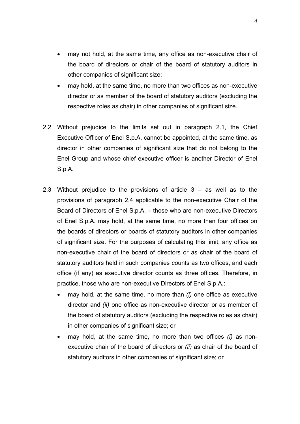- may not hold, at the same time, any office as non-executive chair of the board of directors or chair of the board of statutory auditors in other companies of significant size;
- may hold, at the same time, no more than two offices as non-executive director or as member of the board of statutory auditors (excluding the respective roles as chair) in other companies of significant size.
- 2.2 Without prejudice to the limits set out in paragraph 2.1, the Chief Executive Officer of Enel S.p.A. cannot be appointed, at the same time, as director in other companies of significant size that do not belong to the Enel Group and whose chief executive officer is another Director of Enel S.p.A.
- 2.3 Without prejudice to the provisions of article  $3 as$  well as to the provisions of paragraph 2.4 applicable to the non-executive Chair of the Board of Directors of Enel S.p.A. – those who are non-executive Directors of Enel S.p.A. may hold, at the same time, no more than four offices on the boards of directors or boards of statutory auditors in other companies of significant size. For the purposes of calculating this limit, any office as non-executive chair of the board of directors or as chair of the board of statutory auditors held in such companies counts as two offices, and each office (if any) as executive director counts as three offices. Therefore, in practice, those who are non-executive Directors of Enel S.p.A.:
	- may hold, at the same time, no more than *(i)* one office as executive director and *(ii)* one office as non-executive director or as member of the board of statutory auditors (excluding the respective roles as chair) in other companies of significant size; or
	- may hold, at the same time, no more than two offices *(i)* as nonexecutive chair of the board of directors or *(ii)* as chair of the board of statutory auditors in other companies of significant size; or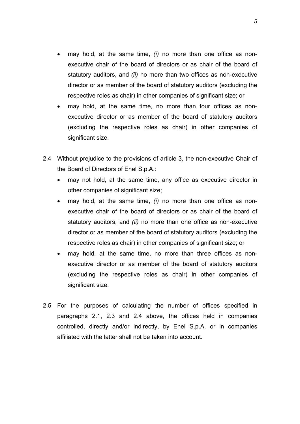- may hold, at the same time, *(i)* no more than one office as nonexecutive chair of the board of directors or as chair of the board of statutory auditors, and *(ii)* no more than two offices as non-executive director or as member of the board of statutory auditors (excluding the respective roles as chair) in other companies of significant size; or
- may hold, at the same time, no more than four offices as nonexecutive director or as member of the board of statutory auditors (excluding the respective roles as chair) in other companies of significant size.
- 2.4 Without prejudice to the provisions of article 3, the non-executive Chair of the Board of Directors of Enel S.p.A.:
	- may not hold, at the same time, any office as executive director in other companies of significant size;
	- may hold, at the same time, *(i)* no more than one office as nonexecutive chair of the board of directors or as chair of the board of statutory auditors, and *(ii)* no more than one office as non-executive director or as member of the board of statutory auditors (excluding the respective roles as chair) in other companies of significant size; or
	- may hold, at the same time, no more than three offices as nonexecutive director or as member of the board of statutory auditors (excluding the respective roles as chair) in other companies of significant size.
- 2.5 For the purposes of calculating the number of offices specified in paragraphs 2.1, 2.3 and 2.4 above, the offices held in companies controlled, directly and/or indirectly, by Enel S.p.A. or in companies affiliated with the latter shall not be taken into account.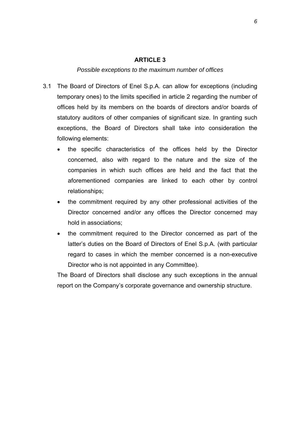#### **ARTICLE 3**

### *Possible exceptions to the maximum number of offices*

- 3.1 The Board of Directors of Enel S.p.A. can allow for exceptions (including temporary ones) to the limits specified in article 2 regarding the number of offices held by its members on the boards of directors and/or boards of statutory auditors of other companies of significant size. In granting such exceptions, the Board of Directors shall take into consideration the following elements:
	- the specific characteristics of the offices held by the Director concerned, also with regard to the nature and the size of the companies in which such offices are held and the fact that the aforementioned companies are linked to each other by control relationships;
	- the commitment required by any other professional activities of the Director concerned and/or any offices the Director concerned may hold in associations;
	- the commitment required to the Director concerned as part of the latter's duties on the Board of Directors of Enel S.p.A. (with particular regard to cases in which the member concerned is a non-executive Director who is not appointed in any Committee).

The Board of Directors shall disclose any such exceptions in the annual report on the Company's corporate governance and ownership structure.